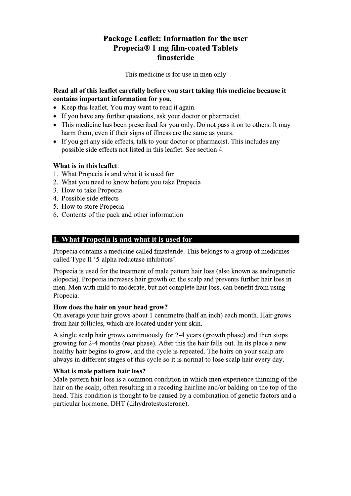# Package Leaflet: Information for the user **Propecia® 1 mg film-coated Tablets** finasteride

This medicine is for use in men only

### Read all of this leaflet carefully before you start taking this medicine because it contains important information for you.

- Keep this leaflet. You may want to read it again.
- If you have any further questions, ask your doctor or pharmacist.
- This medicine has been prescribed for you only. Do not pass it on to others. It may harm them, even if their signs of illness are the same as yours.
- If you get any side effects, talk to your doctor or pharmacist. This includes any possible side effects not listed in this leaflet. See section 4.

# What is in this leaflet:

- 1. What Propecia is and what it is used for
- 2. What you need to know before you take Propecia
- 3. How to take Propecia
- 4. Possible side effects
- 5. How to store Propecia
- 6. Contents of the pack and other information

# 1. What Propecia is and what it is used for

Propecia contains a medicine called finasteride. This belongs to a group of medicines called Type II '5-alpha reductase inhibitors'.

Propecia is used for the treatment of male pattern hair loss (also known as androgenetic alopecia). Propecia increases hair growth on the scalp and prevents further hair loss in men. Men with mild to moderate, but not complete hair loss, can benefit from using Propecia.

# How does the hair on your head grow?

On average your hair grows about 1 centimetre (half an inch) each month. Hair grows from hair follicles, which are located under your skin.

A single scalp hair grows continuously for 2-4 years (growth phase) and then stops growing for 2-4 months (rest phase). After this the hair falls out. In its place a new healthy hair begins to grow, and the cycle is repeated. The hairs on your scalp are always in different stages of this cycle so it is normal to lose scalp hair every day.

# What is male pattern hair loss?

Male pattern hair loss is a common condition in which men experience thinning of the hair on the scalp, often resulting in a receding hairline and/or balding on the top of the head. This condition is thought to be caused by a combination of genetic factors and a particular hormone, DHT (dihydrotestosterone).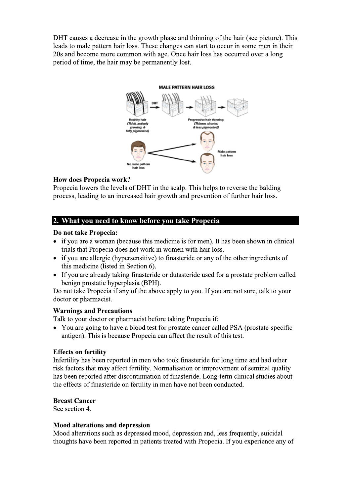DHT causes a decrease in the growth phase and thinning of the hair (see picture). This leads to male pattern hair loss. These changes can start to occur in some men in their 20s and become more common with age. Once hair loss has occurred over a long period of time, the hair may be permanently lost.

# **MALE PATTERN HAIR LOSS**



# **How does Propecia work?**

Propecia lowers the levels of DHT in the scalp. This helps to reverse the balding process, leading to an increased hair growth and prevention of further hair loss.

# 2. What you need to know before you take Propecia

### Do not take Propecia:

- if you are a woman (because this medicine is for men). It has been shown in clinical trials that Propecia does not work in women with hair loss.
- if you are allergic (hypersensitive) to finasteride or any of the other ingredients of this medicine (listed in Section 6).
- If you are already taking finasteride or dutasteride used for a prostate problem called benign prostatic hyperplasia (BPH).

Do not take Propecia if any of the above apply to you. If you are not sure, talk to your doctor or pharmacist.

#### **Warnings and Precautions**

Talk to your doctor or pharmacist before taking Propecia if:

• You are going to have a blood test for prostate cancer called PSA (prostate-specific antigen). This is because Propecia can affect the result of this test.

#### **Effects on fertility**

Infertility has been reported in men who took finasteride for long time and had other risk factors that may affect fertility. Normalisation or improvement of seminal quality has been reported after discontinuation of finasteride. Long-term clinical studies about the effects of finasteride on fertility in men have not been conducted.

#### **Breast Cancer**

See section 4.

#### **Mood alterations and depression**

Mood alterations such as depressed mood, depression and, less frequently, suicidal thoughts have been reported in patients treated with Propecia. If you experience any of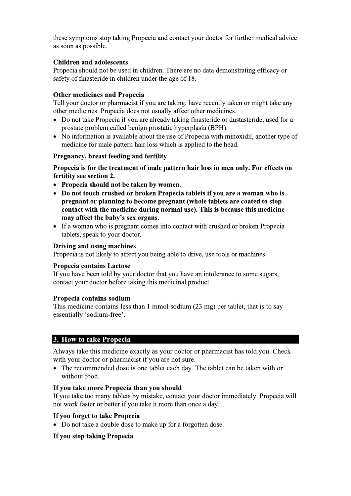these symptoms stop taking Propecia and contact your doctor for further medical advice as soon as possible.

# **Children and adolescents**

Propecia should not be used in children. There are no data demonstrating efficacy or safety of finasteride in children under the age of 18.

### **Other medicines and Propecia**

Tell your doctor or pharmacist if you are taking, have recently taken or might take any other medicines. Propecia does not usually affect other medicines.

- Do not take Propecia if you are already taking finasteride or dustasteride, used for a prostate problem called benign prostatic hyperplasia (BPH).
- No information is available about the use of Propecia with minoxidil, another type of medicine for male pattern hair loss which is applied to the head.

### Pregnancy, breast feeding and fertility

Propecia is for the treatment of male pattern hair loss in men only. For effects on fertility see section 2.

- Propecia should not be taken by women.
- Do not touch crushed or broken Propecia tablets if you are a woman who is pregnant or planning to become pregnant (whole tablets are coated to stop contact with the medicine during normal use). This is because this medicine may affect the baby's sex organs.
- If a woman who is pregnant comes into contact with crushed or broken Propecia tablets, speak to your doctor.

#### Driving and using machines

Propecia is not likely to affect you being able to drive, use tools or machines.

#### **Propecia contains Lactose**

If you have been told by your doctor that you have an intolerance to some sugars, contact your doctor before taking this medicinal product.

#### Propecia contains sodium

This medicine contains less than 1 mmol sodium (23 mg) per tablet, that is to say essentially 'sodium-free'.

# 3. How to take Propecia

Always take this medicine exactly as your doctor or pharmacist has told you. Check with your doctor or pharmacist if you are not sure.

• The recommended dose is one tablet each day. The tablet can be taken with or without food.

#### If you take more Propecia than you should

If you take too many tablets by mistake, contact your doctor immediately. Propecia will not work faster or better if you take it more than once a day.

#### If you forget to take Propecia

• Do not take a double dose to make up for a forgotten dose.

# If you stop taking Propecia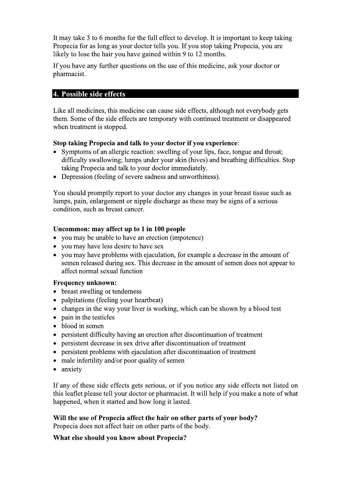It may take 3 to 6 months for the full effect to develop. It is important to keep taking Propecia for as long as your doctor tells you. If you stop taking Propecia, you are likely to lose the hair you have gained within 9 to 12 months.

If you have any further questions on the use of this medicine, ask your doctor or pharmacist.

### 4. Possible side effects

Like all medicines, this medicine can cause side effects, although not everybody gets them. Some of the side effects are temporary with continued treatment or disappeared when treatment is stopped.

#### Stop taking Propecia and talk to your doctor if you experience:

- Symptoms of an allergic reaction: swelling of your lips, face, tongue and throat; difficulty swallowing; lumps under your skin (hives) and breathing difficulties. Stop taking Propecia and talk to your doctor immediately.
- Depression (feeling of severe sadness and unworthiness).

You should promptly report to your doctor any changes in your breast tissue such as lumps, pain, enlargement or nipple discharge as these may be signs of a serious condition, such as breast cancer.

#### Uncommon: may affect up to 1 in 100 people

- you may be unable to have an erection (impotence)
- you may have less desire to have sex
- you may have problems with ejaculation, for example a decrease in the amount of semen released during sex. This decrease in the amount of semen does not appear to affect normal sexual function

#### **Frequency unknown:**

- breast swelling or tenderness
- palpitations (feeling your heartbeat)
- changes in the way your liver is working, which can be shown by a blood test
- pain in the testicles
- $\bullet$  blood in semen
- persistent difficulty having an erection after discontinuation of treatment
- persistent decrease in sex drive after discontinuation of treatment
- persistent problems with ejaculation after discontinuation of treatment
- male infertility and/or poor quality of semen
- anxiety

If any of these side effects gets serious, or if you notice any side effects not listed on this leaflet please tell your doctor or pharmacist. It will help if you make a note of what happened, when it started and how long it lasted.

Will the use of Propecia affect the hair on other parts of your body?

Propecia does not affect hair on other parts of the body.

#### What else should you know about Propecia?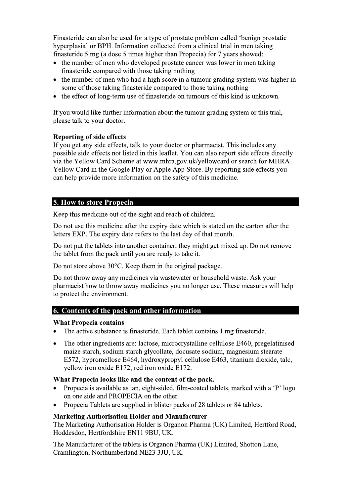Finasteride can also be used for a type of prostate problem called 'benign prostatic hyperplasia' or BPH. Information collected from a clinical trial in men taking finasteride 5 mg (a dose 5 times higher than Propecia) for 7 years showed:

- the number of men who developed prostate cancer was lower in men taking finasteride compared with those taking nothing
- the number of men who had a high score in a tumour grading system was higher in some of those taking finasteride compared to those taking nothing
- the effect of long-term use of finasteride on tumours of this kind is unknown.  $\bullet$

If you would like further information about the tumour grading system or this trial, please talk to your doctor.

# **Reporting of side effects**

If you get any side effects, talk to your doctor or pharmacist. This includes any possible side effects not listed in this leaflet. You can also report side effects directly via the Yellow Card Scheme at www.mhra.gov.uk/yellowcard or search for MHRA Yellow Card in the Google Play or Apple App Store. By reporting side effects you can help provide more information on the safety of this medicine.

# **5. How to store Propecia**

Keep this medicine out of the sight and reach of children.

Do not use this medicine after the expiry date which is stated on the carton after the letters EXP. The expiry date refers to the last day of that month.

Do not put the tablets into another container, they might get mixed up. Do not remove the tablet from the pack until you are ready to take it.

Do not store above  $30^{\circ}$ C. Keep them in the original package.

Do not throw away any medicines via wastewater or household waste. Ask your pharmacist how to throw away medicines you no longer use. These measures will help to protect the environment.

# 6. Contents of the pack and other information

# **What Propecia contains**

- The active substance is finasteride. Each tablet contains 1 mg finasteride.
- The other ingredients are: lactose, microcrystalline cellulose E460, pregelatinised  $\bullet$ maize starch, sodium starch glycollate, docusate sodium, magnesium stearate E572, hypromellose E464, hydroxypropyl cellulose E463, titanium dioxide, talc, yellow iron oxide E172, red iron oxide E172.

#### What Propecia looks like and the content of the pack.

- Propecia is available as tan, eight-sided, film-coated tablets, marked with a 'P' logo on one side and PROPECIA on the other.
- Propecia Tablets are supplied in blister packs of 28 tablets or 84 tablets.

# **Marketing Authorisation Holder and Manufacturer**

The Marketing Authorisation Holder is Organon Pharma (UK) Limited, Hertford Road, Hoddesdon, Hertfordshire EN11 9BU, UK.

The Manufacturer of the tablets is Organon Pharma (UK) Limited, Shotton Lane, Cramlington, Northumberland NE23 3JU, UK.